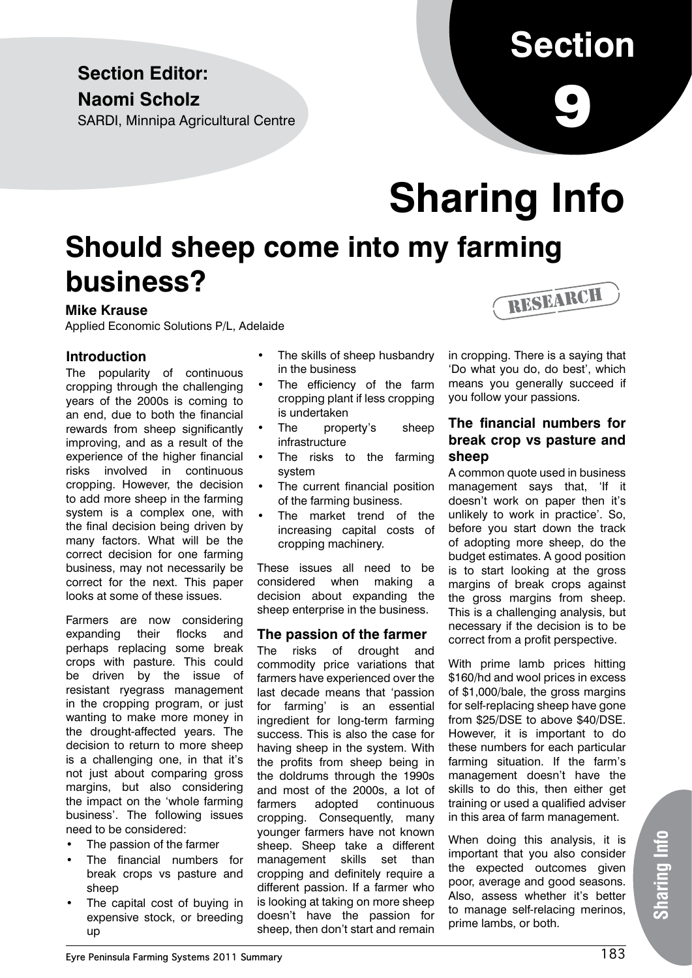### **Section Editor: Naomi Scholz**

SARDI, Minnipa Agricultural Centre

## **Section**

9

# **Sharing Info**

## **Should sheep come into my farming business?**

### **Mike Krause**

Applied Economic Solutions P/L, Adelaide

### **Introduction**

The popularity of continuous cropping through the challenging years of the 2000s is coming to an end, due to both the financial rewards from sheep significantly improving, and as a result of the experience of the higher financial risks involved in continuous cropping. However, the decision to add more sheep in the farming system is a complex one, with the final decision being driven by many factors. What will be the correct decision for one farming business, may not necessarily be correct for the next. This paper looks at some of these issues.

Farmers are now considering expanding their flocks and perhaps replacing some break crops with pasture. This could be driven by the issue of resistant ryegrass management in the cropping program, or just wanting to make more money in the drought-affected years. The decision to return to more sheep is a challenging one, in that it's not just about comparing gross margins, but also considering the impact on the 'whole farming business'. The following issues need to be considered:

- The passion of the farmer
- The financial numbers for break crops vs pasture and sheep
- The capital cost of buying in expensive stock, or breeding up
- The skills of sheep husbandry in the business
- The efficiency of the farm cropping plant if less cropping is undertaken
- The property's sheep infrastructure
- The risks to the farming system
- The current financial position of the farming business.
- The market trend of the increasing capital costs of cropping machinery.

These issues all need to be considered when making a decision about expanding the sheep enterprise in the business.

### **The passion of the farmer**

The risks of drought and commodity price variations that farmers have experienced over the last decade means that 'passion for farming' is an essential ingredient for long-term farming success. This is also the case for having sheep in the system. With the profits from sheep being in the doldrums through the 1990s and most of the 2000s, a lot of farmers adopted continuous cropping. Consequently, many younger farmers have not known sheep. Sheep take a different management skills set than cropping and definitely require a different passion. If a farmer who is looking at taking on more sheep doesn't have the passion for sheep, then don't start and remain



in cropping. There is a saying that 'Do what you do, do best', which means you generally succeed if you follow your passions.

### **The financial numbers for break crop vs pasture and sheep**

A common quote used in business management says that, 'If it doesn't work on paper then it's unlikely to work in practice'. So, before you start down the track of adopting more sheep, do the budget estimates. A good position is to start looking at the gross margins of break crops against the gross margins from sheep. This is a challenging analysis, but necessary if the decision is to be correct from a profit perspective.

With prime lamb prices hitting \$160/hd and wool prices in excess of \$1,000/bale, the gross margins for self-replacing sheep have gone from \$25/DSE to above \$40/DSE. However, it is important to do these numbers for each particular farming situation. If the farm's management doesn't have the skills to do this, then either get training or used a qualified adviser in this area of farm management.

When doing this analysis, it is important that you also consider the expected outcomes given poor, average and good seasons. Also, assess whether it's better to manage self-relacing merinos, prime lambs, or both.